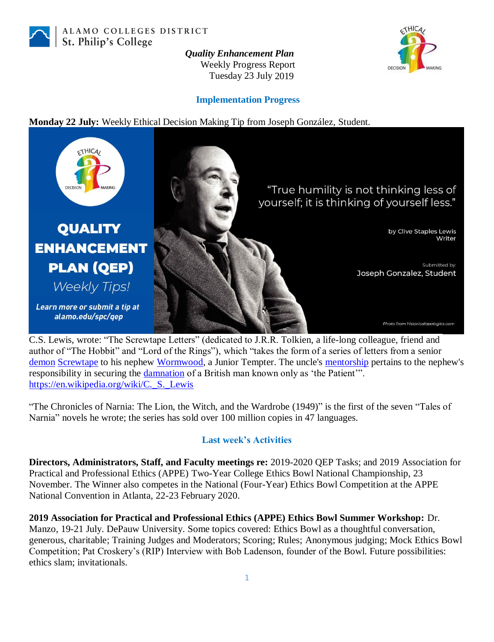

ALAMO COLLEGES DISTRICT St. Philip's College

> *Quality Enhancement Plan* Weekly Progress Report Tuesday 23 July 2019



#### **Implementation Progress**

**Monday 22 July:** Weekly Ethical Decision Making Tip from Joseph González, Student.



C.S. Lewis, wrote: "The Screwtape Letters" (dedicated to J.R.R. Tolkien, a life-long colleague, friend and author of "The Hobbit" and "Lord of the Rings"), which "takes the form of a series of letters from a senior [demon](https://en.wikipedia.org/wiki/Demon) [Screwtape](https://en.wikipedia.org/wiki/Screwtape) to his nephew [Wormwood,](https://en.wikipedia.org/wiki/Wormwood_(Bible)) a Junior Tempter. The uncle's [mentorship](https://en.wikipedia.org/wiki/Mentorship) pertains to the nephew's responsibility in securing the *damnation* of a British man known only as 'the Patient'". [https://en.wikipedia.org/wiki/C.\\_S.\\_Lewis](https://en.wikipedia.org/wiki/C._S._Lewis)

"The Chronicles of Narnia: The Lion, the Witch, and the Wardrobe (1949)" is the first of the seven "Tales of Narnia" novels he wrote; the series has sold over 100 million copies in 47 languages.

### **Last week's Activities**

**Directors, Administrators, Staff, and Faculty meetings re:** 2019-2020 QEP Tasks; and 2019 Association for Practical and Professional Ethics (APPE) Two-Year College Ethics Bowl National Championship, 23 November. The Winner also competes in the National (Four-Year) Ethics Bowl Competition at the APPE National Convention in Atlanta, 22-23 February 2020.

**2019 Association for Practical and Professional Ethics (APPE) Ethics Bowl Summer Workshop:** Dr. Manzo, 19-21 July. DePauw University. Some topics covered: Ethics Bowl as a thoughtful conversation, generous, charitable; Training Judges and Moderators; Scoring; Rules; Anonymous judging; Mock Ethics Bowl Competition; Pat Croskery's (RIP) Interview with Bob Ladenson, founder of the Bowl. Future possibilities: ethics slam; invitationals.